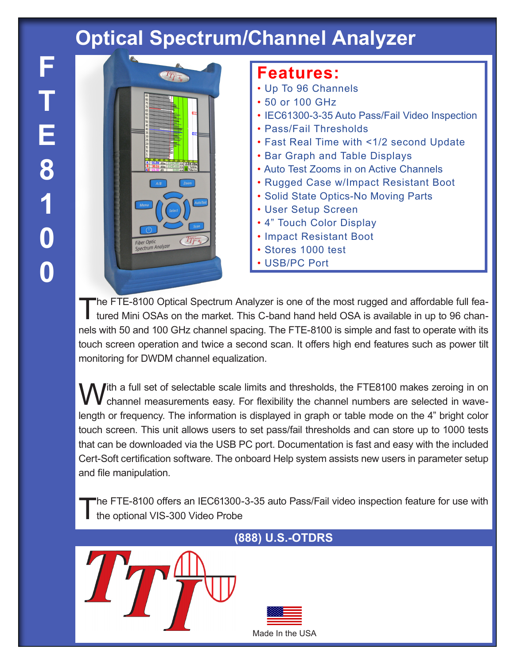## **Optical Spectrum/Channel Analyzer**



## **Features:**

- Up To 96 Channels
- 50 or 100 GHz
- IEC61300-3-35 Auto Pass/Fail Video Inspection
- Pass/Fail Thresholds
- Fast Real Time with <1/2 second Update
- Bar Graph and Table Displays
- Auto Test Zooms in on Active Channels
- Rugged Case w/Impact Resistant Boot
- Solid State Optics-No Moving Parts
- User Setup Screen
- 4" Touch Color Display
- Impact Resistant Boot
- Stores 1000 test
- USB/PC Port

The FTE-8100 Optical Spectrum Analyzer is one of the most rugged and affordable full featured Mini OSAs on the market. This C-band hand held OSA is available in up to 96 channels with 50 and 100 GHz channel spacing. The FTE-8100 is simple and fast to operate with its touch screen operation and twice a second scan. It offers high end features such as power tilt monitoring for DWDM channel equalization.

With a full set of selectable scale limits and thresholds, the FTE8100 makes zeroing in on<br>
V channel measurements easy. For flexibility the channel numbers are selected in wavelength or frequency. The information is displayed in graph or table mode on the 4" bright color touch screen. This unit allows users to set pass/fail thresholds and can store up to 1000 tests that can be downloaded via the USB PC port. Documentation is fast and easy with the included Cert-Soft certification software. The onboard Help system assists new users in parameter setup and file manipulation.

The FTE-8100 offers an IEC61300-3-35 auto Pass/Fail video inspection feature for use with the optional VIS-300 Video Probe

## Made In the USA

## **(888) U.S.-OTDRS**